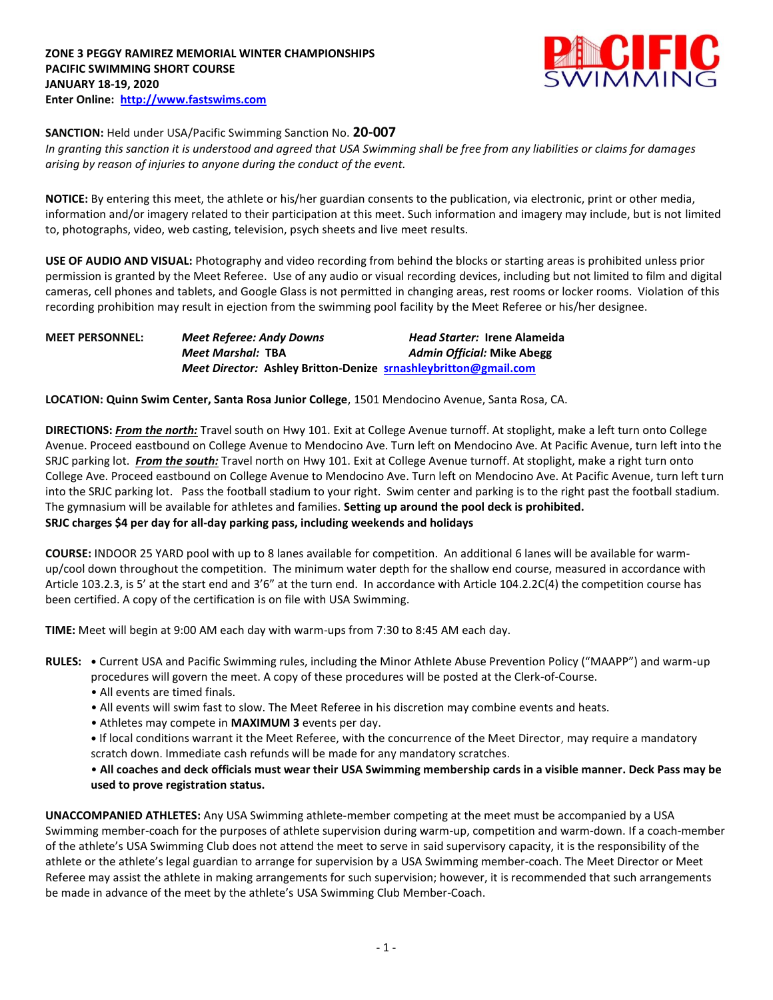

## **SANCTION:** Held under USA/Pacific Swimming Sanction No. **20-007**

*In granting this sanction it is understood and agreed that USA Swimming shall be free from any liabilities or claims for damages arising by reason of injuries to anyone during the conduct of the event.* 

**NOTICE:** By entering this meet, the athlete or his/her guardian consents to the publication, via electronic, print or other media, information and/or imagery related to their participation at this meet. Such information and imagery may include, but is not limited to, photographs, video, web casting, television, psych sheets and live meet results.

**USE OF AUDIO AND VISUAL:** Photography and video recording from behind the blocks or starting areas is prohibited unless prior permission is granted by the Meet Referee. Use of any audio or visual recording devices, including but not limited to film and digital cameras, cell phones and tablets, and Google Glass is not permitted in changing areas, rest rooms or locker rooms. Violation of this recording prohibition may result in ejection from the swimming pool facility by the Meet Referee or his/her designee.

| <b>MEET PERSONNEL:</b> | <b>Meet Referee: Andy Downs</b>                                 | <b>Head Starter: Irene Alameida</b> |
|------------------------|-----------------------------------------------------------------|-------------------------------------|
|                        | Meet Marshal: TBA                                               | <b>Admin Official: Mike Abegg</b>   |
|                        | Meet Director: Ashley Britton-Denize srnashleybritton@gmail.com |                                     |

**LOCATION: Quinn Swim Center, Santa Rosa Junior College**, 1501 Mendocino Avenue, Santa Rosa, CA.

**DIRECTIONS:** *From the north:* Travel south on Hwy 101. Exit at College Avenue turnoff. At stoplight, make a left turn onto College Avenue. Proceed eastbound on College Avenue to Mendocino Ave. Turn left on Mendocino Ave. At Pacific Avenue, turn left into the SRJC parking lot. *From the south:* Travel north on Hwy 101. Exit at College Avenue turnoff. At stoplight, make a right turn onto College Ave. Proceed eastbound on College Avenue to Mendocino Ave. Turn left on Mendocino Ave. At Pacific Avenue, turn left turn into the SRJC parking lot. Pass the football stadium to your right. Swim center and parking is to the right past the football stadium. The gymnasium will be available for athletes and families. **Setting up around the pool deck is prohibited. SRJC charges \$4 per day for all-day parking pass, including weekends and holidays**

**COURSE:** INDOOR 25 YARD pool with up to 8 lanes available for competition. An additional 6 lanes will be available for warmup/cool down throughout the competition. The minimum water depth for the shallow end course, measured in accordance with Article 103.2.3, is 5' at the start end and 3'6" at the turn end. In accordance with Article 104.2.2C(4) the competition course has been certified. A copy of the certification is on file with USA Swimming.

**TIME:** Meet will begin at 9:00 AM each day with warm-ups from 7:30 to 8:45 AM each day.

**RULES: •** Current USA and Pacific Swimming rules, including the Minor Athlete Abuse Prevention Policy ("MAAPP") and warm-up procedures will govern the meet. A copy of these procedures will be posted at the Clerk-of-Course.

- All events are timed finals.
- All events will swim fast to slow. The Meet Referee in his discretion may combine events and heats.
- Athletes may compete in **MAXIMUM 3** events per day.
- **•** If local conditions warrant it the Meet Referee, with the concurrence of the Meet Director, may require a mandatory scratch down. Immediate cash refunds will be made for any mandatory scratches.

## • **All coaches and deck officials must wear their USA Swimming membership cards in a visible manner. Deck Pass may be used to prove registration status.**

**UNACCOMPANIED ATHLETES:** Any USA Swimming athlete-member competing at the meet must be accompanied by a USA Swimming member-coach for the purposes of athlete supervision during warm-up, competition and warm-down. If a coach-member of the athlete's USA Swimming Club does not attend the meet to serve in said supervisory capacity, it is the responsibility of the athlete or the athlete's legal guardian to arrange for supervision by a USA Swimming member-coach. The Meet Director or Meet Referee may assist the athlete in making arrangements for such supervision; however, it is recommended that such arrangements be made in advance of the meet by the athlete's USA Swimming Club Member-Coach.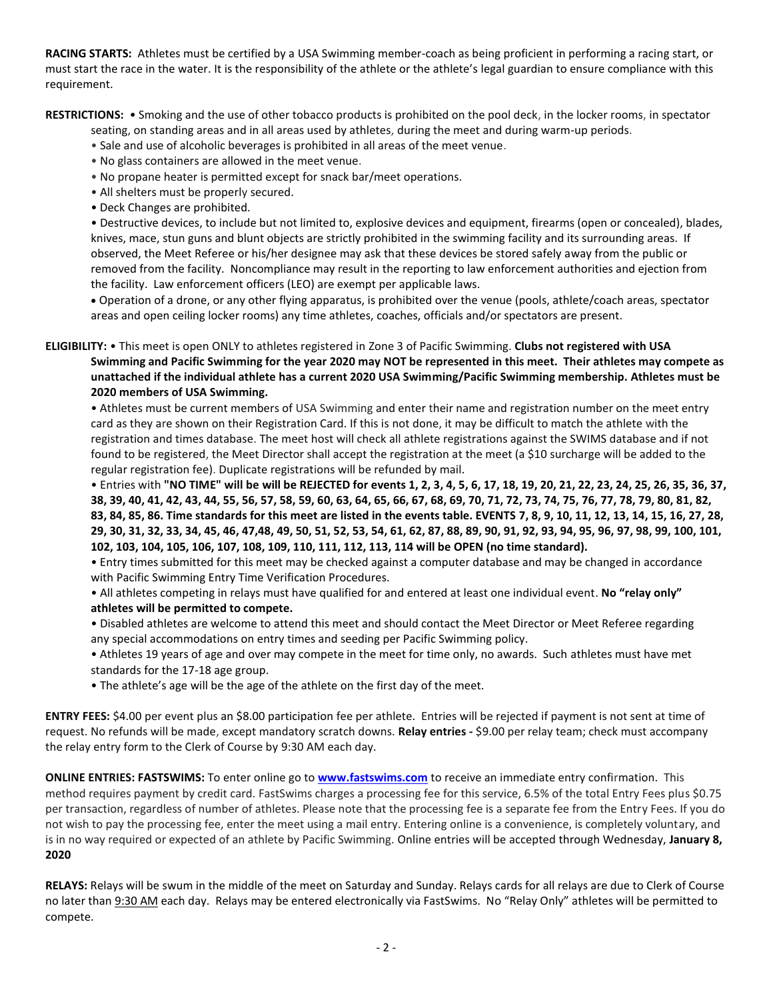**RACING STARTS:** Athletes must be certified by a USA Swimming member-coach as being proficient in performing a racing start, or must start the race in the water. It is the responsibility of the athlete or the athlete's legal guardian to ensure compliance with this requirement.

**RESTRICTIONS:** • Smoking and the use of other tobacco products is prohibited on the pool deck, in the locker rooms, in spectator

seating, on standing areas and in all areas used by athletes, during the meet and during warm-up periods.

- Sale and use of alcoholic beverages is prohibited in all areas of the meet venue.
- No glass containers are allowed in the meet venue.
- No propane heater is permitted except for snack bar/meet operations.
- All shelters must be properly secured.
- Deck Changes are prohibited.

• Destructive devices, to include but not limited to, explosive devices and equipment, firearms (open or concealed), blades, knives, mace, stun guns and blunt objects are strictly prohibited in the swimming facility and its surrounding areas. If observed, the Meet Referee or his/her designee may ask that these devices be stored safely away from the public or removed from the facility. Noncompliance may result in the reporting to law enforcement authorities and ejection from the facility. Law enforcement officers (LEO) are exempt per applicable laws.

 Operation of a drone, or any other flying apparatus, is prohibited over the venue (pools, athlete/coach areas, spectator areas and open ceiling locker rooms) any time athletes, coaches, officials and/or spectators are present.

**ELIGIBILITY:** • This meet is open ONLY to athletes registered in Zone 3 of Pacific Swimming. **Clubs not registered with USA Swimming and Pacific Swimming for the year 2020 may NOT be represented in this meet. Their athletes may compete as unattached if the individual athlete has a current 2020 USA Swimming/Pacific Swimming membership. Athletes must be 2020 members of USA Swimming.**

• Athletes must be current members of USA Swimming and enter their name and registration number on the meet entry card as they are shown on their Registration Card. If this is not done, it may be difficult to match the athlete with the registration and times database. The meet host will check all athlete registrations against the SWIMS database and if not found to be registered, the Meet Director shall accept the registration at the meet (a \$10 surcharge will be added to the regular registration fee). Duplicate registrations will be refunded by mail.

• Entries with **"NO TIME" will be will be REJECTED for events 1, 2, 3, 4, 5, 6, 17, 18, 19, 20, 21, 22, 23, 24, 25, 26, 35, 36, 37, 38, 39, 40, 41, 42, 43, 44, 55, 56, 57, 58, 59, 60, 63, 64, 65, 66, 67, 68, 69, 70, 71, 72, 73, 74, 75, 76, 77, 78, 79, 80, 81, 82, 83, 84, 85, 86. Time standards for this meet are listed in the events table. EVENTS 7, 8, 9, 10, 11, 12, 13, 14, 15, 16, 27, 28, 29, 30, 31, 32, 33, 34, 45, 46, 47,48, 49, 50, 51, 52, 53, 54, 61, 62, 87, 88, 89, 90, 91, 92, 93, 94, 95, 96, 97, 98, 99, 100, 101, 102, 103, 104, 105, 106, 107, 108, 109, 110, 111, 112, 113, 114 will be OPEN (no time standard).**

• Entry times submitted for this meet may be checked against a computer database and may be changed in accordance with Pacific Swimming Entry Time Verification Procedures.

• All athletes competing in relays must have qualified for and entered at least one individual event. **No "relay only" athletes will be permitted to compete.**

• Disabled athletes are welcome to attend this meet and should contact the Meet Director or Meet Referee regarding any special accommodations on entry times and seeding per Pacific Swimming policy.

- Athletes 19 years of age and over may compete in the meet for time only, no awards. Such athletes must have met standards for the 17-18 age group.
- The athlete's age will be the age of the athlete on the first day of the meet.

**ENTRY FEES:** \$4.00 per event plus an \$8.00 participation fee per athlete. Entries will be rejected if payment is not sent at time of request. No refunds will be made, except mandatory scratch downs. **Relay entries -** \$9.00 per relay team; check must accompany the relay entry form to the Clerk of Course by 9:30 AM each day.

**ONLINE ENTRIES: FASTSWIMS:** To enter online go to **[www.fastswims.com](http://www.fastswims.com/)** to receive an immediate entry confirmation. This method requires payment by credit card. FastSwims charges a processing fee for this service, 6.5% of the total Entry Fees plus \$0.75 per transaction, regardless of number of athletes. Please note that the processing fee is a separate fee from the Entry Fees. If you do not wish to pay the processing fee, enter the meet using a mail entry. Entering online is a convenience, is completely voluntary, and is in no way required or expected of an athlete by Pacific Swimming. Online entries will be accepted through Wednesday, **January 8, 2020**

**RELAYS:** Relays will be swum in the middle of the meet on Saturday and Sunday. Relays cards for all relays are due to Clerk of Course no later than 9:30 AM each day. Relays may be entered electronically via FastSwims. No "Relay Only" athletes will be permitted to compete.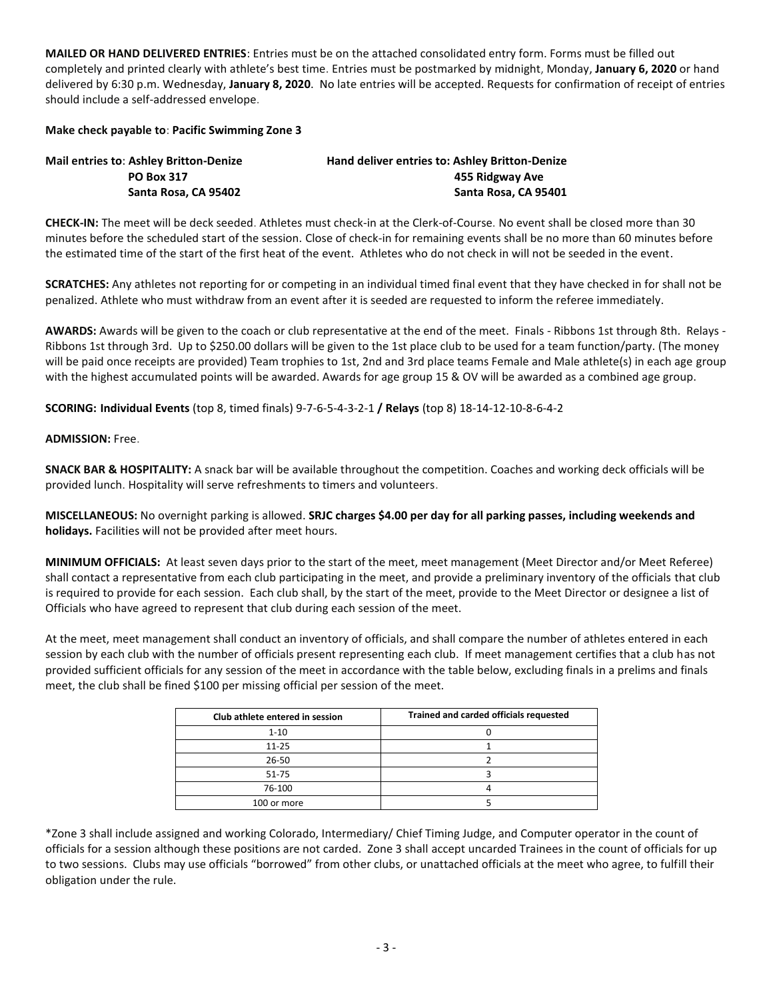**MAILED OR HAND DELIVERED ENTRIES**: Entries must be on the attached consolidated entry form. Forms must be filled out completely and printed clearly with athlete's best time. Entries must be postmarked by midnight, Monday, **January 6, 2020** or hand delivered by 6:30 p.m. Wednesday, **January 8, 2020**. No late entries will be accepted. Requests for confirmation of receipt of entries should include a self-addressed envelope.

## **Make check payable to**: **Pacific Swimming Zone 3**

| <b>Mail entries to: Ashley Britton-Denize</b> | Hand deliver entries to: Ashley Britton-Denize |  |  |  |  |  |
|-----------------------------------------------|------------------------------------------------|--|--|--|--|--|
| <b>PO Box 317</b>                             | 455 Ridgway Ave                                |  |  |  |  |  |
| Santa Rosa, CA 95402                          | Santa Rosa, CA 95401                           |  |  |  |  |  |

**CHECK-IN:** The meet will be deck seeded. Athletes must check-in at the Clerk-of-Course. No event shall be closed more than 30 minutes before the scheduled start of the session. Close of check-in for remaining events shall be no more than 60 minutes before the estimated time of the start of the first heat of the event. Athletes who do not check in will not be seeded in the event.

**SCRATCHES:** Any athletes not reporting for or competing in an individual timed final event that they have checked in for shall not be penalized. Athlete who must withdraw from an event after it is seeded are requested to inform the referee immediately.

**AWARDS:** Awards will be given to the coach or club representative at the end of the meet. Finals - Ribbons 1st through 8th. Relays - Ribbons 1st through 3rd. Up to \$250.00 dollars will be given to the 1st place club to be used for a team function/party. (The money will be paid once receipts are provided) Team trophies to 1st, 2nd and 3rd place teams Female and Male athlete(s) in each age group with the highest accumulated points will be awarded. Awards for age group 15 & OV will be awarded as a combined age group.

**SCORING: Individual Events** (top 8, timed finals) 9-7-6-5-4-3-2-1 **/ Relays** (top 8) 18-14-12-10-8-6-4-2

## **ADMISSION:** Free.

**SNACK BAR & HOSPITALITY:** A snack bar will be available throughout the competition. Coaches and working deck officials will be provided lunch. Hospitality will serve refreshments to timers and volunteers.

**MISCELLANEOUS:** No overnight parking is allowed. **SRJC charges \$4.00 per day for all parking passes, including weekends and holidays.** Facilities will not be provided after meet hours.

**MINIMUM OFFICIALS:** At least seven days prior to the start of the meet, meet management (Meet Director and/or Meet Referee) shall contact a representative from each club participating in the meet, and provide a preliminary inventory of the officials that club is required to provide for each session. Each club shall, by the start of the meet, provide to the Meet Director or designee a list of Officials who have agreed to represent that club during each session of the meet.

At the meet, meet management shall conduct an inventory of officials, and shall compare the number of athletes entered in each session by each club with the number of officials present representing each club. If meet management certifies that a club has not provided sufficient officials for any session of the meet in accordance with the table below, excluding finals in a prelims and finals meet, the club shall be fined \$100 per missing official per session of the meet.

| Club athlete entered in session | Trained and carded officials requested |  |  |  |  |  |  |
|---------------------------------|----------------------------------------|--|--|--|--|--|--|
| $1 - 10$                        |                                        |  |  |  |  |  |  |
| $11 - 25$                       |                                        |  |  |  |  |  |  |
| $26 - 50$                       |                                        |  |  |  |  |  |  |
| 51-75                           |                                        |  |  |  |  |  |  |
| 76-100                          |                                        |  |  |  |  |  |  |
| 100 or more                     |                                        |  |  |  |  |  |  |

\*Zone 3 shall include assigned and working Colorado, Intermediary/ Chief Timing Judge, and Computer operator in the count of officials for a session although these positions are not carded. Zone 3 shall accept uncarded Trainees in the count of officials for up to two sessions. Clubs may use officials "borrowed" from other clubs, or unattached officials at the meet who agree, to fulfill their obligation under the rule.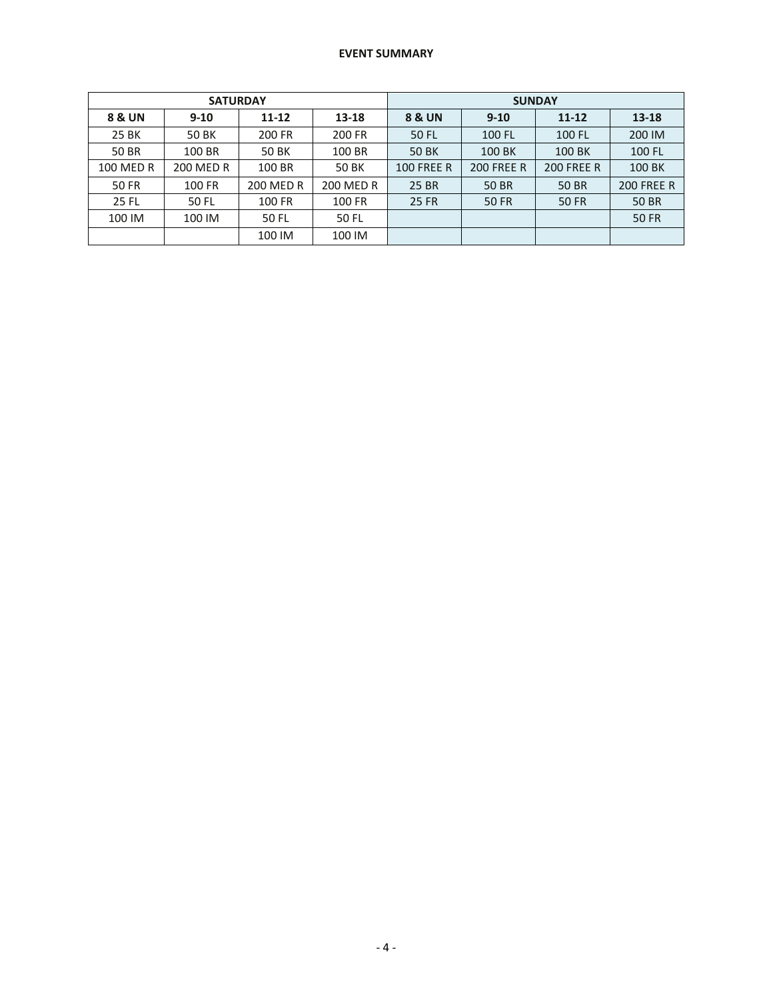|                   | <b>SATURDAY</b>  |                  |           | <b>SUNDAY</b>     |                   |                   |                   |  |  |  |
|-------------------|------------------|------------------|-----------|-------------------|-------------------|-------------------|-------------------|--|--|--|
| <b>8 &amp; UN</b> | $9 - 10$         | 11-12            | 13-18     | 8 & UN            | $9 - 10$          | $11 - 12$         | 13-18             |  |  |  |
| 25 BK             | 50 BK            | 200 FR           | 200 FR    | 50 FL             | 100 FL            | 100 FL            | 200 IM            |  |  |  |
| 50 BR             | 100 BR           | 50 BK            | 100 BR    | 50 BK             | 100 BK            | 100 BK            | 100 FL            |  |  |  |
| 100 MED R         | <b>200 MED R</b> | 100 BR           | 50 BK     | <b>100 FREE R</b> | <b>200 FREE R</b> | <b>200 FREE R</b> | 100 BK            |  |  |  |
| <b>50 FR</b>      | 100 FR           | <b>200 MED R</b> | 200 MED R | 25 BR             | 50 BR             | <b>50 BR</b>      | <b>200 FREE R</b> |  |  |  |
| 25 FL             | 50 FL            | 100 FR           | 100 FR    | <b>25 FR</b>      | 50 FR             | 50 FR             | 50 BR             |  |  |  |
| 100 IM            | 100 IM           | 50 FL            | 50 FL     |                   |                   |                   | <b>50 FR</b>      |  |  |  |
|                   |                  | 100 IM           | 100 IM    |                   |                   |                   |                   |  |  |  |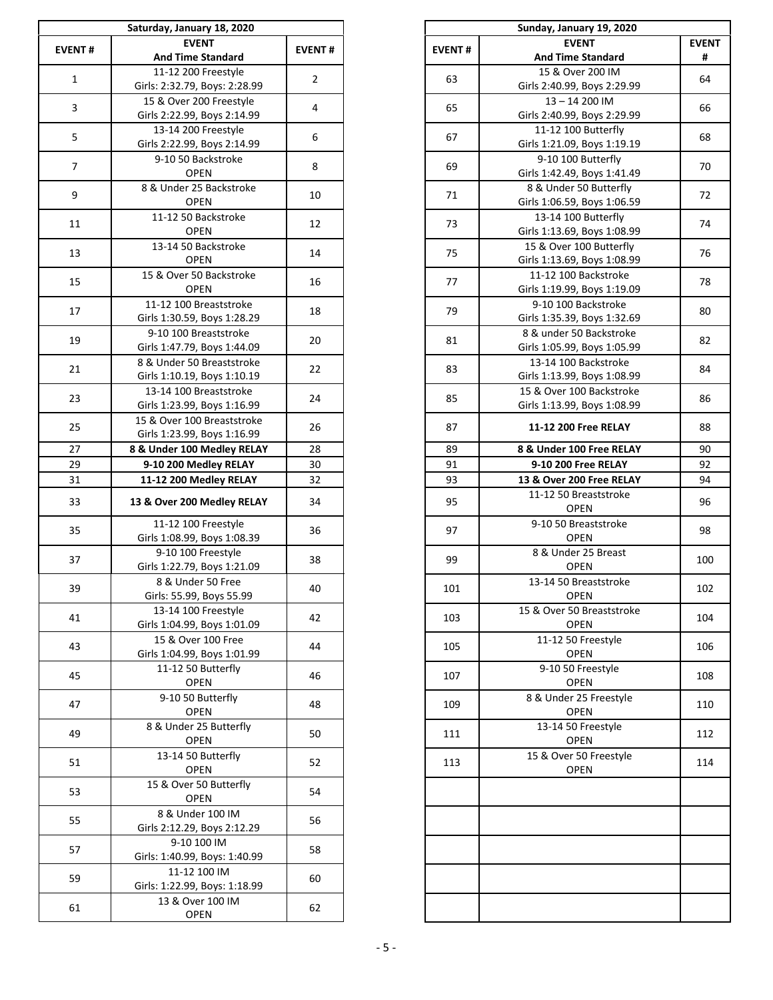|                | Saturday, January 18, 2020                         |                | Sunday, January 19, 2020 |                                                   |
|----------------|----------------------------------------------------|----------------|--------------------------|---------------------------------------------------|
| <b>EVENT#</b>  | <b>EVENT</b>                                       | <b>EVENT#</b>  | <b>EVENT#</b>            | <b>EVENT</b>                                      |
|                | <b>And Time Standard</b>                           |                |                          | <b>And Time Standard</b>                          |
| $\mathbf{1}$   | 11-12 200 Freestyle                                | $\overline{2}$ | 63                       | 15 & Over 200 IM                                  |
|                | Girls: 2:32.79, Boys: 2:28.99                      |                |                          | Girls 2:40.99, Boys 2:29.99                       |
| 3              | 15 & Over 200 Freestyle                            | 4              | 65                       | 13-14 200 IM                                      |
|                | Girls 2:22.99, Boys 2:14.99                        |                |                          | Girls 2:40.99, Boys 2:29.99                       |
| 5              | 13-14 200 Freestyle                                | 6              | 67                       | 11-12 100 Butterfly                               |
|                | Girls 2:22.99, Boys 2:14.99                        |                |                          | Girls 1:21.09, Boys 1:19.19                       |
| $\overline{7}$ | 9-10 50 Backstroke<br><b>OPEN</b>                  | 8              | 69                       | 9-10 100 Butterfly<br>Girls 1:42.49, Boys 1:41.49 |
|                | 8 & Under 25 Backstroke                            |                |                          | 8 & Under 50 Butterfly                            |
| 9              | <b>OPEN</b>                                        | 10             | 71                       | Girls 1:06.59, Boys 1:06.59                       |
|                | 11-12 50 Backstroke                                |                |                          | 13-14 100 Butterfly                               |
| 11             | <b>OPEN</b>                                        | 12             | 73                       | Girls 1:13.69, Boys 1:08.99                       |
|                | 13-14 50 Backstroke                                |                |                          | 15 & Over 100 Butterfly                           |
| 13             | <b>OPEN</b>                                        | 14             | 75                       | Girls 1:13.69, Boys 1:08.99                       |
|                | 15 & Over 50 Backstroke                            |                |                          | 11-12 100 Backstroke                              |
| 15             | <b>OPEN</b>                                        | 16             | 77                       | Girls 1:19.99, Boys 1:19.09                       |
|                | 11-12 100 Breaststroke                             |                |                          | 9-10 100 Backstroke                               |
| 17             | Girls 1:30.59, Boys 1:28.29                        | 18             | 79                       | Girls 1:35.39, Boys 1:32.69                       |
|                | 9-10 100 Breaststroke                              |                |                          | 8 & under 50 Backstroke                           |
| 19             | Girls 1:47.79, Boys 1:44.09                        | 20             | 81                       | Girls 1:05.99, Boys 1:05.99                       |
|                | 8 & Under 50 Breaststroke                          |                |                          | 13-14 100 Backstroke                              |
| 21             | Girls 1:10.19, Boys 1:10.19                        | 22             | 83                       | Girls 1:13.99, Boys 1:08.99                       |
| 23             | 13-14 100 Breaststroke                             | 24             | 85                       | 15 & Over 100 Backstroke                          |
|                | Girls 1:23.99, Boys 1:16.99                        |                |                          | Girls 1:13.99, Boys 1:08.99                       |
| 25             | 15 & Over 100 Breaststroke                         | 26             | 87                       | 11-12 200 Free RELAY                              |
|                | Girls 1:23.99, Boys 1:16.99                        |                |                          |                                                   |
| 27             | 8 & Under 100 Medley RELAY                         | 28             | 89                       | 8 & Under 100 Free RELA                           |
| 29             | 9-10 200 Medley RELAY                              | 30             | 91                       | 9-10 200 Free RELAY                               |
| 31             | 11-12 200 Medley RELAY                             | 32             | 93                       | 13 & Over 200 Free RELAY                          |
| 33             | 13 & Over 200 Medley RELAY                         | 34             | 95                       | 11-12 50 Breaststroke<br><b>OPEN</b>              |
| 35             | 11-12 100 Freestyle<br>Girls 1:08.99, Boys 1:08.39 | 36             | 97                       | 9-10 50 Breaststroke<br><b>OPEN</b>               |
| 37             | 9-10 100 Freestyle                                 | 38             | 99                       | 8 & Under 25 Breast                               |
|                | Girls 1:22.79, Boys 1:21.09                        |                |                          | <b>OPEN</b>                                       |
| 39             | 8 & Under 50 Free                                  | 40             | 101                      | 13-14 50 Breaststroke                             |
|                | Girls: 55.99, Boys 55.99                           |                |                          | <b>OPEN</b>                                       |
| 41             | 13-14 100 Freestyle                                | 42             | 103                      | 15 & Over 50 Breaststrok                          |
|                | Girls 1:04.99, Boys 1:01.09<br>15 & Over 100 Free  |                |                          | <b>OPEN</b><br>11-12 50 Freestyle                 |
| 43             | Girls 1:04.99, Boys 1:01.99                        | 44             | 105                      | <b>OPEN</b>                                       |
|                | 11-12 50 Butterfly                                 |                |                          | 9-10 50 Freestyle                                 |
| 45             | <b>OPEN</b>                                        | 46             | 107                      | <b>OPEN</b>                                       |
|                | 9-10 50 Butterfly                                  |                |                          | 8 & Under 25 Freestyle                            |
| 47             | <b>OPEN</b>                                        | 48             | 109                      | <b>OPEN</b>                                       |
|                | 8 & Under 25 Butterfly                             |                |                          | 13-14 50 Freestyle                                |
| 49             | <b>OPEN</b>                                        | 50             | 111                      | <b>OPEN</b>                                       |
|                | 13-14 50 Butterfly                                 |                |                          | 15 & Over 50 Freestyle                            |
| 51             | <b>OPEN</b>                                        | 52             | 113                      | <b>OPEN</b>                                       |
|                | 15 & Over 50 Butterfly                             |                |                          |                                                   |
| 53             | <b>OPEN</b>                                        | 54             |                          |                                                   |
| 55             | 8 & Under 100 IM                                   | 56             |                          |                                                   |
|                | Girls 2:12.29, Boys 2:12.29                        |                |                          |                                                   |
| 57             | 9-10 100 IM                                        | 58             |                          |                                                   |
|                | Girls: 1:40.99, Boys: 1:40.99                      |                |                          |                                                   |
| 59             | 11-12 100 IM                                       | 60             |                          |                                                   |
|                | Girls: 1:22.99, Boys: 1:18.99                      |                |                          |                                                   |
| 61             | 13 & Over 100 IM                                   | 62             |                          |                                                   |
|                | <b>OPEN</b>                                        |                |                          |                                                   |

|                | Saturday, January 18, 2020        |                |               | Sunday, January 19, 2020             |              |
|----------------|-----------------------------------|----------------|---------------|--------------------------------------|--------------|
| ENT#           | <b>EVENT</b>                      | <b>EVENT#</b>  | <b>EVENT#</b> | <b>EVENT</b>                         | <b>EVENT</b> |
|                | <b>And Time Standard</b>          |                |               | <b>And Time Standard</b>             | #            |
| $\mathbf{1}$   | 11-12 200 Freestyle               | $\overline{2}$ | 63            | 15 & Over 200 IM                     | 64           |
|                | Girls: 2:32.79, Boys: 2:28.99     |                |               | Girls 2:40.99, Boys 2:29.99          |              |
| $\mathbf{3}$   | 15 & Over 200 Freestyle           | 4              | 65            | $13 - 14200$ IM                      | 66           |
|                | Girls 2:22.99, Boys 2:14.99       |                |               | Girls 2:40.99, Boys 2:29.99          |              |
| 5              | 13-14 200 Freestyle               | 6              | 67            | 11-12 100 Butterfly                  | 68           |
|                | Girls 2:22.99, Boys 2:14.99       |                |               | Girls 1:21.09, Boys 1:19.19          |              |
| $\overline{7}$ | 9-10 50 Backstroke                | 8              | 69            | 9-10 100 Butterfly                   | 70           |
|                | <b>OPEN</b>                       |                |               | Girls 1:42.49, Boys 1:41.49          |              |
| $\overline{9}$ | 8 & Under 25 Backstroke           | 10             | 71            | 8 & Under 50 Butterfly               | 72           |
|                | <b>OPEN</b>                       |                |               | Girls 1:06.59, Boys 1:06.59          |              |
| 11             | 11-12 50 Backstroke               | 12             | 73            | 13-14 100 Butterfly                  | 74           |
|                | <b>OPEN</b>                       |                |               | Girls 1:13.69, Boys 1:08.99          |              |
| 13             | 13-14 50 Backstroke               | 14             | 75            | 15 & Over 100 Butterfly              | 76           |
|                | <b>OPEN</b>                       |                |               | Girls 1:13.69, Boys 1:08.99          |              |
|                | 15 & Over 50 Backstroke           | 16             | 77            | 11-12 100 Backstroke                 | 78           |
| 15             | <b>OPEN</b>                       |                |               | Girls 1:19.99, Boys 1:19.09          |              |
|                | 11-12 100 Breaststroke            |                |               | 9-10 100 Backstroke                  |              |
| 17             | Girls 1:30.59, Boys 1:28.29       | 18             | 79            | Girls 1:35.39, Boys 1:32.69          | 80           |
|                | 9-10 100 Breaststroke             |                |               | 8 & under 50 Backstroke              |              |
| 19             | Girls 1:47.79, Boys 1:44.09       | 20             | 81            | Girls 1:05.99, Boys 1:05.99          | 82           |
|                | 8 & Under 50 Breaststroke         |                |               | 13-14 100 Backstroke                 |              |
| 21             | Girls 1:10.19, Boys 1:10.19       | 22             | 83            | Girls 1:13.99, Boys 1:08.99          | 84           |
|                | 13-14 100 Breaststroke            |                |               | 15 & Over 100 Backstroke             |              |
| 23             | Girls 1:23.99, Boys 1:16.99       | 24             | 85            | Girls 1:13.99, Boys 1:08.99          | 86           |
|                | 15 & Over 100 Breaststroke        |                |               |                                      |              |
| 25             | Girls 1:23.99, Boys 1:16.99       | 26             | 87            | 11-12 200 Free RELAY                 | 88           |
| 27             | 8 & Under 100 Medley RELAY        | 28             | 89            | 8 & Under 100 Free RELAY             | 90           |
| 29             | 9-10 200 Medley RELAY             | 30             | 91            | 9-10 200 Free RELAY                  | 92           |
| 31             |                                   | 32             | 93            | 13 & Over 200 Free RELAY             | 94           |
|                | 11-12 200 Medley RELAY            |                |               |                                      |              |
| 33             | 13 & Over 200 Medley RELAY        | 34             | 95            | 11-12 50 Breaststroke<br><b>OPEN</b> | 96           |
|                | 11-12 100 Freestyle               |                |               | 9-10 50 Breaststroke                 |              |
| 35             | Girls 1:08.99, Boys 1:08.39       | 36             | 97            | <b>OPEN</b>                          | 98           |
|                | 9-10 100 Freestyle                |                |               | 8 & Under 25 Breast                  |              |
| 37             | Girls 1:22.79, Boys 1:21.09       | 38             | 99            | <b>OPEN</b>                          | 100          |
|                | 8 & Under 50 Free                 |                |               | 13-14 50 Breaststroke                |              |
| 39             | Girls: 55.99, Boys 55.99          | 40             | 101           | <b>OPEN</b>                          | 102          |
|                | 13-14 100 Freestyle               |                |               | 15 & Over 50 Breaststroke            |              |
| 41             | Girls 1:04.99, Boys 1:01.09       | 42             | 103           | <b>OPEN</b>                          | 104          |
|                | 15 & Over 100 Free                |                |               | 11-12 50 Freestyle                   |              |
| 43             | Girls 1:04.99, Boys 1:01.99       | 44             | 105           | <b>OPEN</b>                          | 106          |
|                |                                   |                |               |                                      |              |
| 45             | 11-12 50 Butterfly<br><b>OPEN</b> | 46             | 107           | 9-10 50 Freestyle<br><b>OPEN</b>     | 108          |
|                |                                   |                |               |                                      |              |
| 47             | 9-10 50 Butterfly                 | 48             | 109           | 8 & Under 25 Freestyle               | 110          |
|                | <b>OPEN</b>                       |                |               | <b>OPEN</b>                          |              |
| 49             | 8 & Under 25 Butterfly            | 50             | 111           | 13-14 50 Freestyle                   | 112          |
|                | <b>OPEN</b>                       |                |               | <b>OPEN</b>                          |              |
| 51             | 13-14 50 Butterfly                | 52             | 113           | 15 & Over 50 Freestyle               | 114          |
|                | <b>OPEN</b>                       |                |               | <b>OPEN</b>                          |              |
| 53             | 15 & Over 50 Butterfly            | 54             |               |                                      |              |
|                | <b>OPEN</b>                       |                |               |                                      |              |
| 55             | 8 & Under 100 IM                  | 56             |               |                                      |              |
|                | Girls 2:12.29, Boys 2:12.29       |                |               |                                      |              |
| 57             | 9-10 100 IM                       | 58             |               |                                      |              |
|                | Girls: 1:40.99, Boys: 1:40.99     |                |               |                                      |              |
| 59             | 11-12 100 IM                      | 60             |               |                                      |              |
|                | Girls: 1:22.99, Boys: 1:18.99     |                |               |                                      |              |
| 61             | 13 & Over 100 IM                  | 62             |               |                                      |              |
|                | <b>OPEN</b>                       |                |               |                                      |              |